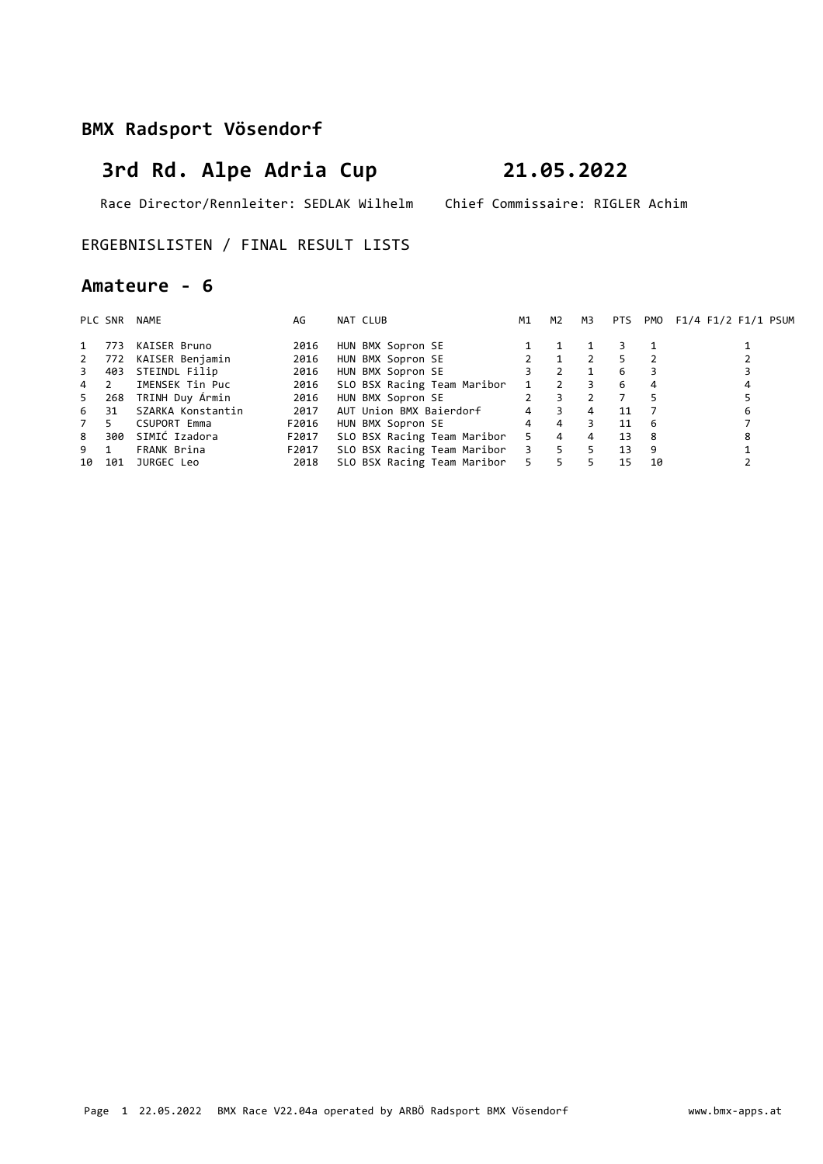# **3rd Rd. Alpe Adria Cup 21.05.2022**

Race Director/Rennleiter: SEDLAK Wilhelm Chief Commissaire: RIGLER Achim

### ERGEBNISLISTEN / FINAL RESULT LISTS

### **Amateure - 6**

|       | PLC SNR | NAME                | AG    | NAT CLUB                        | M1             | M2             | M3 | <b>PTS</b> |    | PMO F1/4 F1/2 F1/1 PSUM |
|-------|---------|---------------------|-------|---------------------------------|----------------|----------------|----|------------|----|-------------------------|
| 1     | 773     | KAISER Bruno        | 2016  | HUN BMX Sopron SE               |                |                |    |            |    |                         |
| 2     | 772     | KAISER Benjamin     | 2016  | HUN BMX Sopron SE               |                |                |    |            |    |                         |
| 3     | 403     | STEINDL Filip       | 2016  | HUN BMX Sopron SE               | 3              | 2              |    | 6          |    |                         |
| 4 2   |         | IMENSEK Tin Puc     | 2016  | SLO BSX Racing Team Maribor     |                | 2              |    | 6          |    |                         |
| $5 -$ | 268     | TRINH Duy Àrmin     | 2016  | HUN BMX Sopron SE               | $2^{\circ}$    |                |    |            |    |                         |
| 6     | 31      | SZARKA Konstantin   | 2017  | AUT Union BMX Baierdorf         | $\overline{4}$ | 3              | 4  | 11         |    | 6                       |
| 7     | 5.      | <b>CSUPORT Emma</b> | F2016 | HUN BMX Sopron SE               | $\overline{4}$ | $\overline{4}$ |    | 11         | -6 |                         |
| 8     | 300     | SIMIĆ Izadora       | F2017 | SLO BSX Racing Team Maribor     | $-5$           | $\overline{4}$ | 4  | 13         | -8 |                         |
| 9 1   |         | FRANK Brina         | F2017 | SLO BSX Racing Team Maribor 3 5 |                |                | 5  | 13         | 9  |                         |
| 10    | 101     | JURGEC Leo          | 2018  | SLO BSX Racing Team Maribor 5   |                | 5.             |    | 15         | 10 |                         |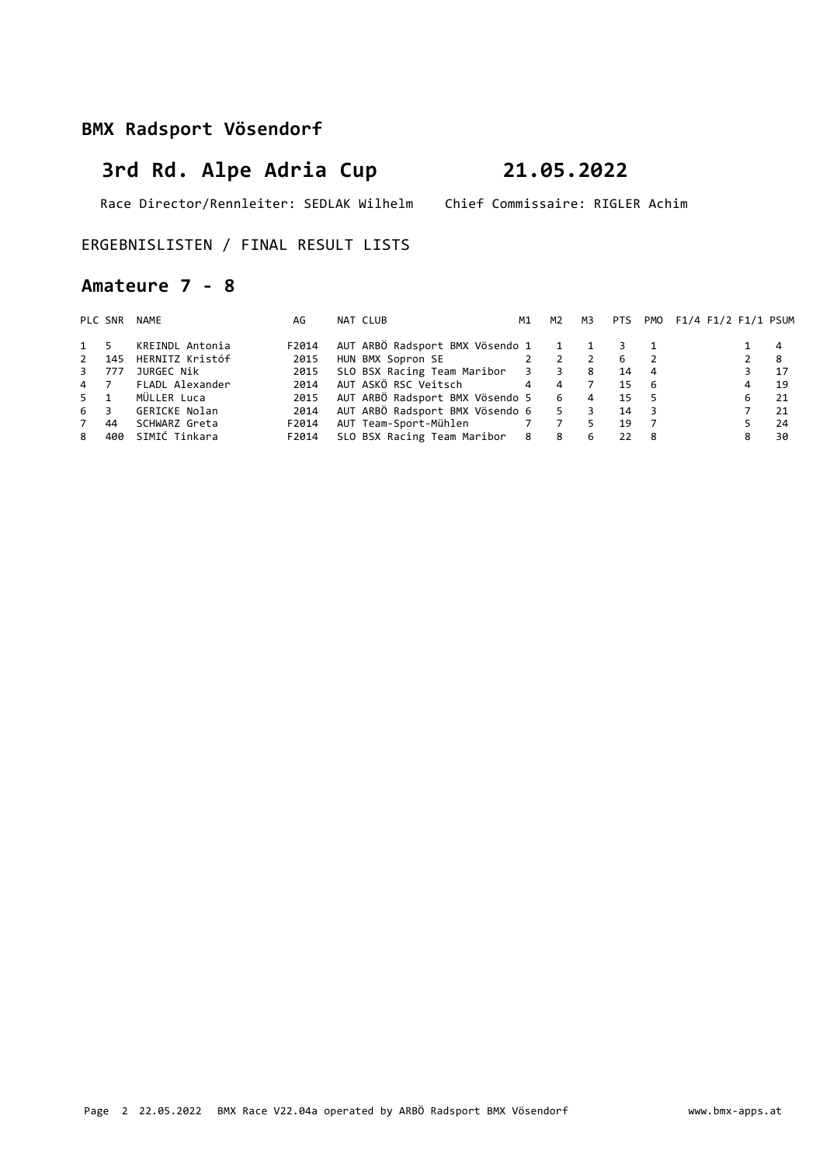# **3rd Rd. Alpe Adria Cup 21.05.2022**

Race Director/Rennleiter: SEDLAK Wilhelm Chief Commissaire: RIGLER Achim

### ERGEBNISLISTEN / FINAL RESULT LISTS

### **Amateure 7 - 8**

|             | PLC SNR | NAME                  | AG    | NAT CLUB                                           | M1 | M2 | M3             |      |                          | PTS PMO F1/4 F1/2 F1/1 PSUM |             |      |
|-------------|---------|-----------------------|-------|----------------------------------------------------|----|----|----------------|------|--------------------------|-----------------------------|-------------|------|
| 1 5         |         | KREINDL Antonia       | F2014 | AUT ARBÖ Radsport BMX Vösendo 1 1 1 3 1            |    |    |                |      |                          |                             |             | -4   |
|             |         | 2 145 HERNITZ Kristóf | 2015  | HUN BMX Sopron SE 2 2                              |    |    | $\overline{2}$ | - 6  |                          |                             | $2 \quad 8$ |      |
| 3 777       |         | JURGEC Nik            | 2015  | SLO BSX Racing Team Maribor 3 3 8                  |    |    |                | -14  | $\overline{4}$           |                             |             | 17   |
| 4 7         |         | FLADL Alexander       | 2014  | AUT ASKÖ RSC Veitsch               4      4      7 |    |    |                | 15   | - 6                      |                             | 4           | 19   |
| $5 \quad 1$ |         | MÜLLER Luca           | 2015  | AUT ARBÖ Radsport BMX Vösendo 5 6 4                |    |    |                | 15 5 |                          |                             | 6           | - 21 |
| 6 3         |         | GERICKE Nolan         | 2014  | AUT ARBÖ Radsport BMX Vösendo 6 5 3                |    |    |                | 14   | $\overline{\phantom{a}}$ |                             |             | 21   |
| 7 44        |         | SCHWARZ Greta         | F2014 | AUT Team-Sport-Mühlen 7 7 5                        |    |    |                | 19   |                          |                             |             | 24   |
| 8           | 400     | SIMIĆ Tinkara         | F2014 | SLO BSX Racing Team Maribor 8 8                    |    |    | 6              | 22 8 |                          |                             | 8           | 30   |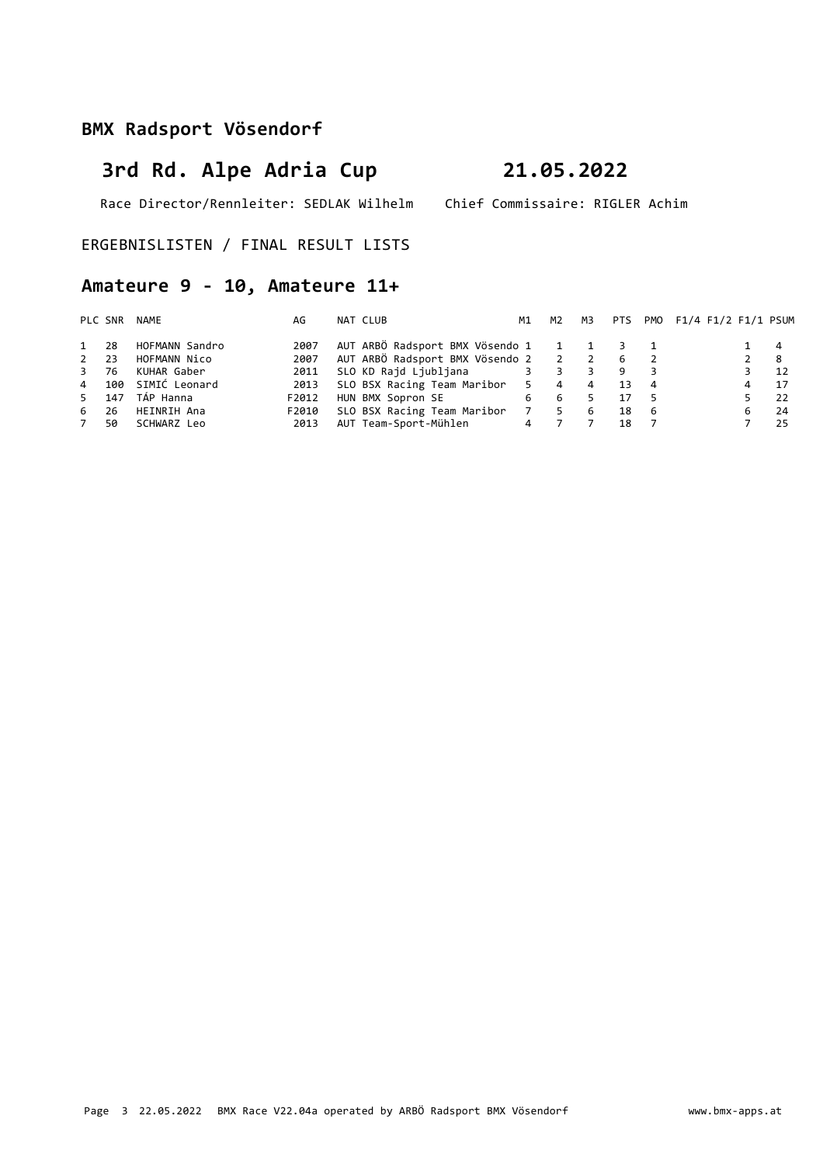# **3rd Rd. Alpe Adria Cup 21.05.2022**

Race Director/Rennleiter: SEDLAK Wilhelm Chief Commissaire: RIGLER Achim

ERGEBNISLISTEN / FINAL RESULT LISTS

## **Amateure 9 - 10, Amateure 11+**

|          | PLC SNR | NAME           | AG    | NAT CLUB                                | M1 | M2    | мз |    |     | PTS PMO F1/4 F1/2 F1/1 PSUM |   |     |
|----------|---------|----------------|-------|-----------------------------------------|----|-------|----|----|-----|-----------------------------|---|-----|
| 1 28     |         | HOFMANN Sandro | 2007  | AUT ARBÖ Radsport BMX Vösendo 1 1 1 3 1 |    |       |    |    |     |                             |   | - 4 |
| $2 \t23$ |         | HOFMANN Nico   | 2007  | AUT ARBÖ Radsport BMX Vösendo 2 2 2 6 2 |    |       |    |    |     |                             |   | - 8 |
| 3 76     |         | KUHAR Gaber    | 2011  |                                         |    |       | 3  | 9  |     |                             |   | -12 |
|          | 4 100   | SIMIĆ Leonard  | 2013  | SLO BSX Racing Team Maribor 5 4         |    |       | 4  | 13 | 4   |                             | 4 | 17  |
|          | 5 147   | TÁP Hanna      | F2012 | HUN BMX Sopron SE                       |    | 6 6   | 5. | 17 |     |                             |   | -22 |
| 6        | 26      | HEINRIH Ana    | F2010 | SLO BSX Racing Team Maribor             |    | 7 5 6 |    | 18 | - 6 |                             |   | -24 |
| 7        | 50      | SCHWARZ Leo    | 2013  | AUT Team-Sport-Mühlen                   |    | 4 7   |    | 18 |     |                             |   | 25  |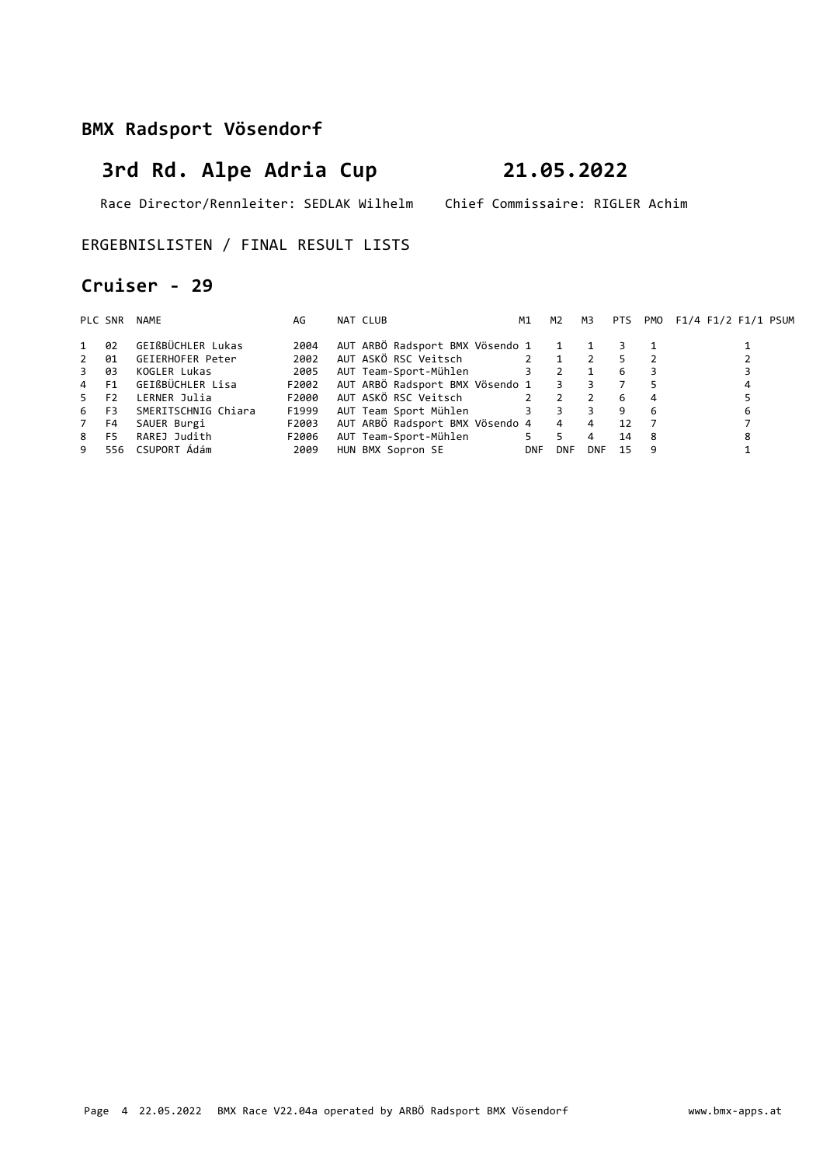# **3rd Rd. Alpe Adria Cup 21.05.2022**

Race Director/Rennleiter: SEDLAK Wilhelm Chief Commissaire: RIGLER Achim

### ERGEBNISLISTEN / FINAL RESULT LISTS

### **Cruiser - 29**

| PLC SNR          |    | NAME                | AG    | NAT CLUB                            | M1          | M2         | M3             | PTS                     |     | PMO F1/4 F1/2 F1/1 PSUM |
|------------------|----|---------------------|-------|-------------------------------------|-------------|------------|----------------|-------------------------|-----|-------------------------|
| 1                | 02 | GEIßBÜCHLER Lukas   | 2004  | AUT ARBÖ Radsport BMX Vösendo 1 1 1 |             |            |                | $\overline{\mathbf{3}}$ |     |                         |
| 2                | 01 | GEIERHOFER Peter    | 2002  | AUT ASKÖ RSC Veitsch                | $2 \quad 1$ |            | $\overline{2}$ |                         |     |                         |
| $\overline{3}$   | 03 | KOGLER Lukas        | 2005  | AUT Team-Sport-Mühlen 3 2           |             |            |                | -6                      |     |                         |
| 4 F1             |    | GEIßBÜCHLER Lisa    | F2002 | AUT ARBÖ Radsport BMX Vösendo 1 3 3 |             |            |                |                         |     | 4                       |
| 5 F <sub>2</sub> |    | LERNER Julia        | F2000 | AUT ASKÖ RSC Veitsch                | $2 \quad 2$ |            | $\overline{2}$ | -6                      |     |                         |
| 6 F3             |    | SMERITSCHNIG Chiara | F1999 | AUT Team Sport Mühlen 3 3           |             |            |                | -9                      | 6   | 6                       |
| 7 F4             |    | SAUER Burgi         | F2003 | AUT ARBÖ Radsport BMX Vösendo 4 4   |             |            | $\overline{4}$ | 12                      |     |                         |
| 8 F5             |    | RAREJ Judith        | F2006 | AUT Team-Sport-Mühlen               | 5 5         |            | 4              | 14                      | - 8 |                         |
| 9                |    | 556 CSUPORT Ádám    | 2009  | HUN BMX Sopron SE                   | <b>DNF</b>  | <b>DNF</b> | <b>DNF</b>     | 15                      | 9   |                         |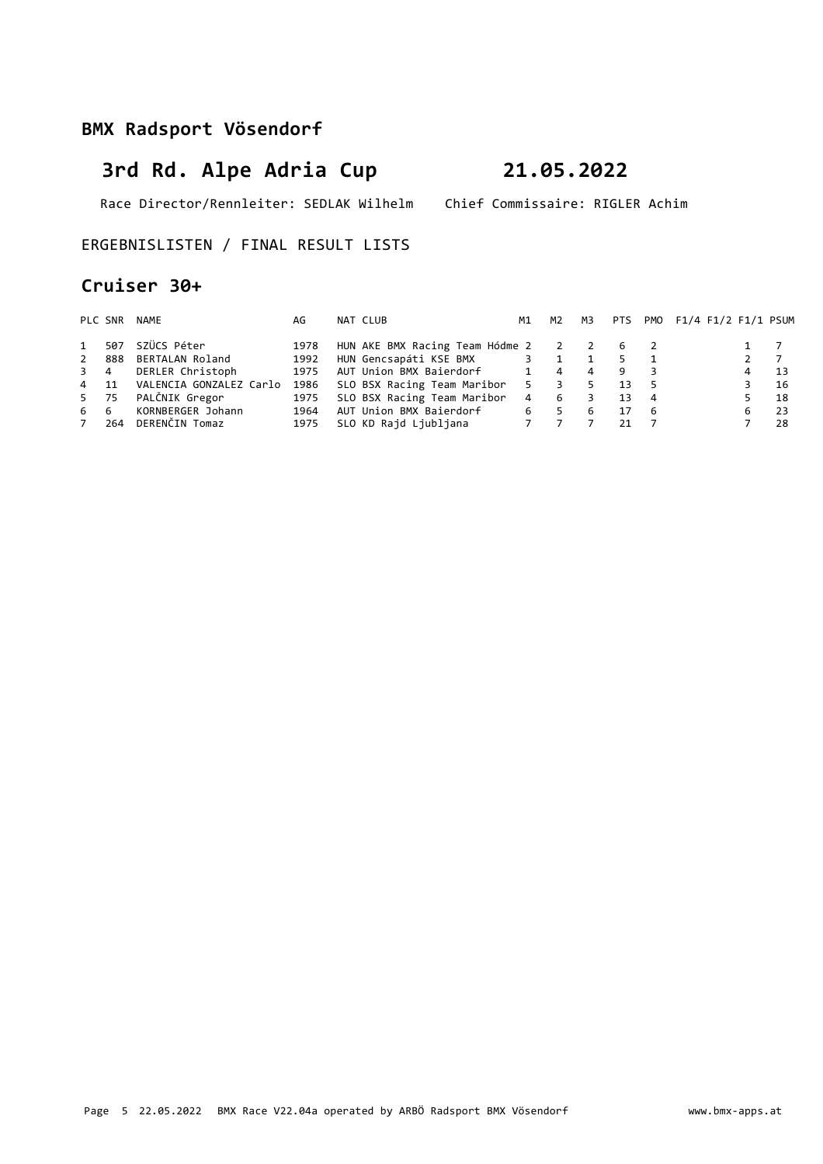# **3rd Rd. Alpe Adria Cup 21.05.2022**

Race Director/Rennleiter: SEDLAK Wilhelm Chief Commissaire: RIGLER Achim

ERGEBNISLISTEN / FINAL RESULT LISTS

### **Cruiser 30+**

|           | PLC SNR | NAME                    | AG   | NAT CLUB                                | M1          | M2 | M3 |     |     | PTS PMO F1/4 F1/2 F1/1 PSUM |                  |      |
|-----------|---------|-------------------------|------|-----------------------------------------|-------------|----|----|-----|-----|-----------------------------|------------------|------|
| $1 \quad$ | 507     | SZÜCS Péter             | 1978 | HUN AKE BMX Racing Team Hódme 2 2 2 6 2 |             |    |    |     |     |                             |                  |      |
|           | 2 888   | BERTALAN Roland         | 1992 | HUN Gencsapáti KSE BMX 3 1              |             |    |    | -5. |     |                             | $2 \overline{7}$ |      |
| 3 4       |         | DERLER Christoph        | 1975 | AUT Union BMX Baierdorf 1               |             | 4  | 4  | -9  |     |                             | 4                | 13   |
| 4 11      |         | VALENCIA GONZALEZ Carlo |      | 1986 SLO BSX Racing Team Maribor        | $5^{\circ}$ | 3  |    | 13  | - 5 |                             |                  | -16  |
| 5 75      |         | PALČNIK Gregor          | 1975 | SLO BSX Racing Team Maribor             | 4           | -6 | 3  | 13  | -4  |                             |                  | 18   |
| 66        |         | KORNBERGER Johann       | 1964 | AUT Union BMX Baierdorf                 | 6           | 5  | -6 | 17  | - 6 |                             | 6                | - 23 |
|           | 7 264   | DERENČIN Tomaz          | 1975 |                                         |             |    |    | 21  |     |                             |                  | 28   |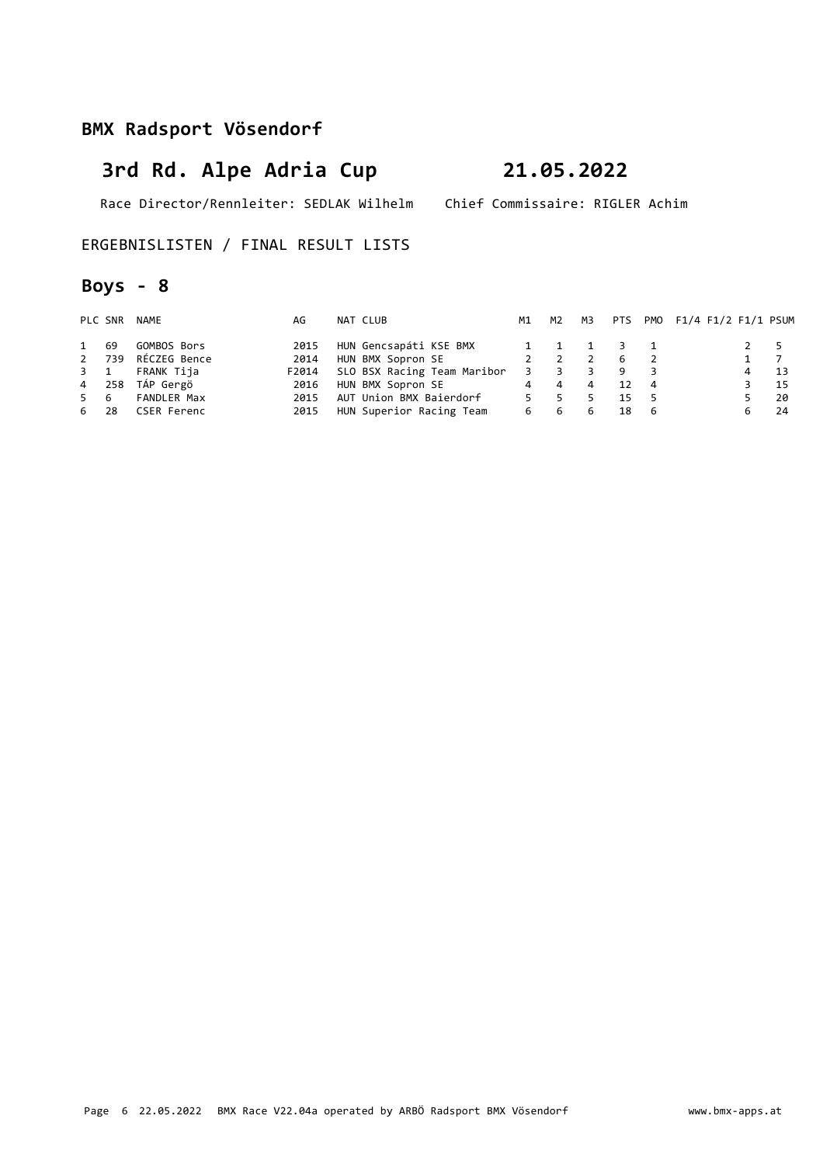# **3rd Rd. Alpe Adria Cup 21.05.2022**

Race Director/Rennleiter: SEDLAK Wilhelm Chief Commissaire: RIGLER Achim

### ERGEBNISLISTEN / FINAL RESULT LISTS

## **Boys - 8**

|      | PLC SNR | NAME            | AG    | NAT CLUB                    | M1  | M2             | мз |     |     | PTS PMO F1/4 F1/2 F1/1 PSUM |             |      |
|------|---------|-----------------|-------|-----------------------------|-----|----------------|----|-----|-----|-----------------------------|-------------|------|
| 1 69 |         | GOMBOS Bors     | 2015  | HUN Gencsapáti KSE BMX      |     | 1 1 1          |    | 3 1 |     |                             | $2 \quad 5$ |      |
|      | 2 739   | RÉCZEG Bence    | 2014  | HUN BMX Sopron SE           |     | $\overline{2}$ |    | -6  |     |                             | $1 \quad 7$ |      |
|      |         | 3 1 FRANK Tija  | F2014 | SLO BSX Racing Team Maribor | 3   |                |    | -9  |     |                             | 4           | 13   |
|      |         | 4 258 TÁP Gergö | 2016  | HUN BMX Sopron SE           |     | 4 4            | 4  | 12  | 4   |                             |             | - 15 |
| 5 6  |         | FANDLER Max     | 2015  | AUT Union BMX Baierdorf     | 5.  | -5.            |    | 15  | - 5 |                             |             | - 20 |
| 6 28 |         | CSER Ferenc     | 2015  | HUN Superior Racing Team    | 6 — | 6              | 6  | 18  | - 6 |                             |             | - 24 |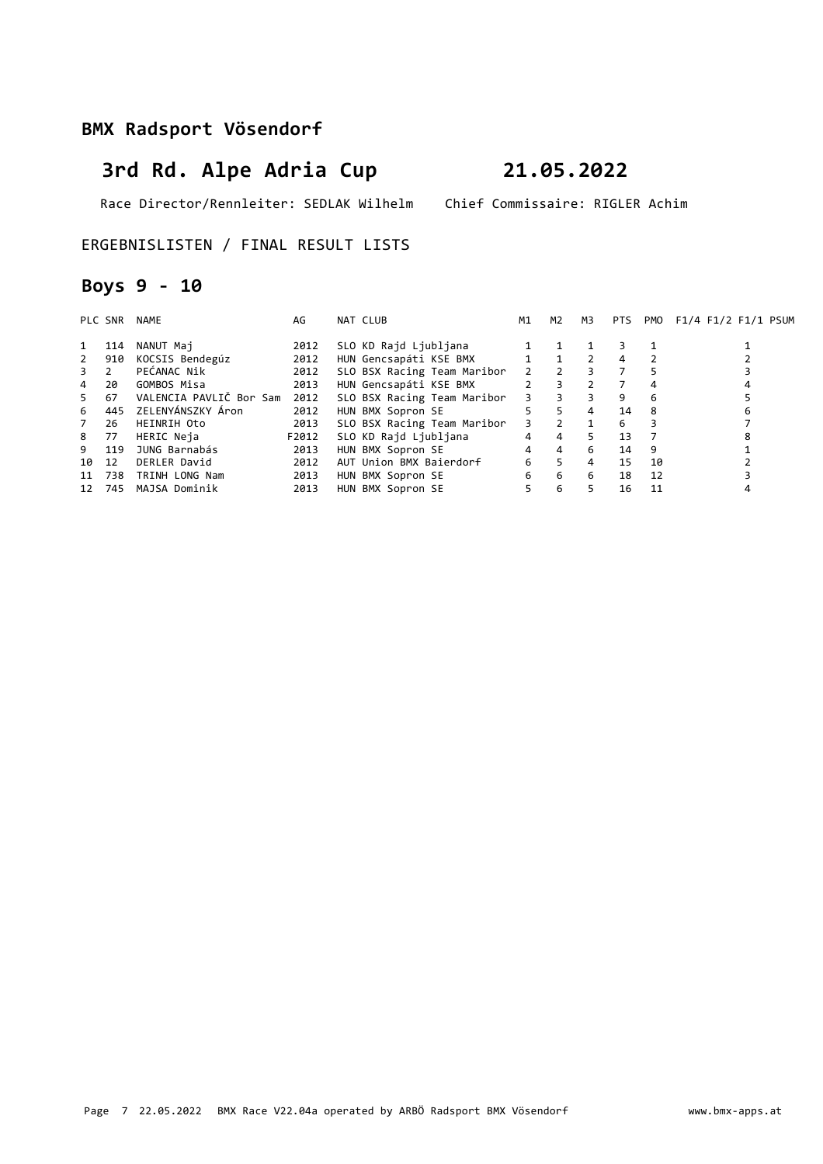# **3rd Rd. Alpe Adria Cup 21.05.2022**

Race Director/Rennleiter: SEDLAK Wilhelm Chief Commissaire: RIGLER Achim

ERGEBNISLISTEN / FINAL RESULT LISTS

## **Boys 9 - 10**

|             | PLC SNR | NAME                    | AG    | NAT CLUB                    | M1             | M2             | M3             | PTS |    | PMO F1/4 F1/2 F1/1 PSUM |
|-------------|---------|-------------------------|-------|-----------------------------|----------------|----------------|----------------|-----|----|-------------------------|
| 1           | 114     | NANUT Maj               | 2012  | SLO KD Rajd Ljubljana       |                |                |                | 3   |    |                         |
| $2^{\circ}$ | 910     | KOCSIS Bendegúz         | 2012  | HUN Gencsapáti KSE BMX      | $\mathbf{1}$   | $\mathbf{1}$   | 2              | 4   |    |                         |
| $3 \quad 2$ |         | PEĆANAC Nik             | 2012  | SLO BSX Racing Team Maribor |                | $2 \quad 2$    | 3              |     |    |                         |
| $4 \quad$   | 20      | GOMBOS Misa             | 2013  | HUN Gencsapáti KSE BMX      | $2^{\circ}$    | 3              | $\mathcal{P}$  |     |    |                         |
| $5 -$       | 67      | VALENCIA PAVLIČ Bor Sam | 2012  | SLO BSX Racing Team Maribor | $3^{\circ}$    | 3              | 3              | 9   | 6  |                         |
| 6           |         | 445 ZELENYÁNSZKY Áron   | 2012  | HUN BMX Sopron SE           | 5              | 5              | 4              | 14  | 8  | 6                       |
| $7^{\circ}$ | 26      | HEINRIH Oto             | 2013  | SLO BSX Racing Team Maribor | $\overline{3}$ | $\overline{2}$ | $\overline{1}$ | 6   |    |                         |
| 8 77        |         | HERIC Neja              | F2012 | SLO KD Rajd Ljubljana       | $\overline{4}$ | $\overline{4}$ | 5.             | 13  |    |                         |
| 9           | 119     | JUNG Barnabás           | 2013  | HUN BMX Sopron SE           | $\overline{4}$ | $\overline{4}$ | 6              | 14  | 9  |                         |
| 10          | 12      | DERLER David            | 2012  | AUT Union BMX Baierdorf     | 6              | 5 <sup>1</sup> | 4              | 15  | 10 |                         |
| 11          | 738     | TRINH LONG Nam          | 2013  | HUN BMX Sopron SE           | 6              | 6              | 6              | 18  | 12 |                         |
| 12          | 745     | MAJSA Dominik           | 2013  | HUN BMX Sopron SE           | 5.             | 6              |                | 16  | 11 |                         |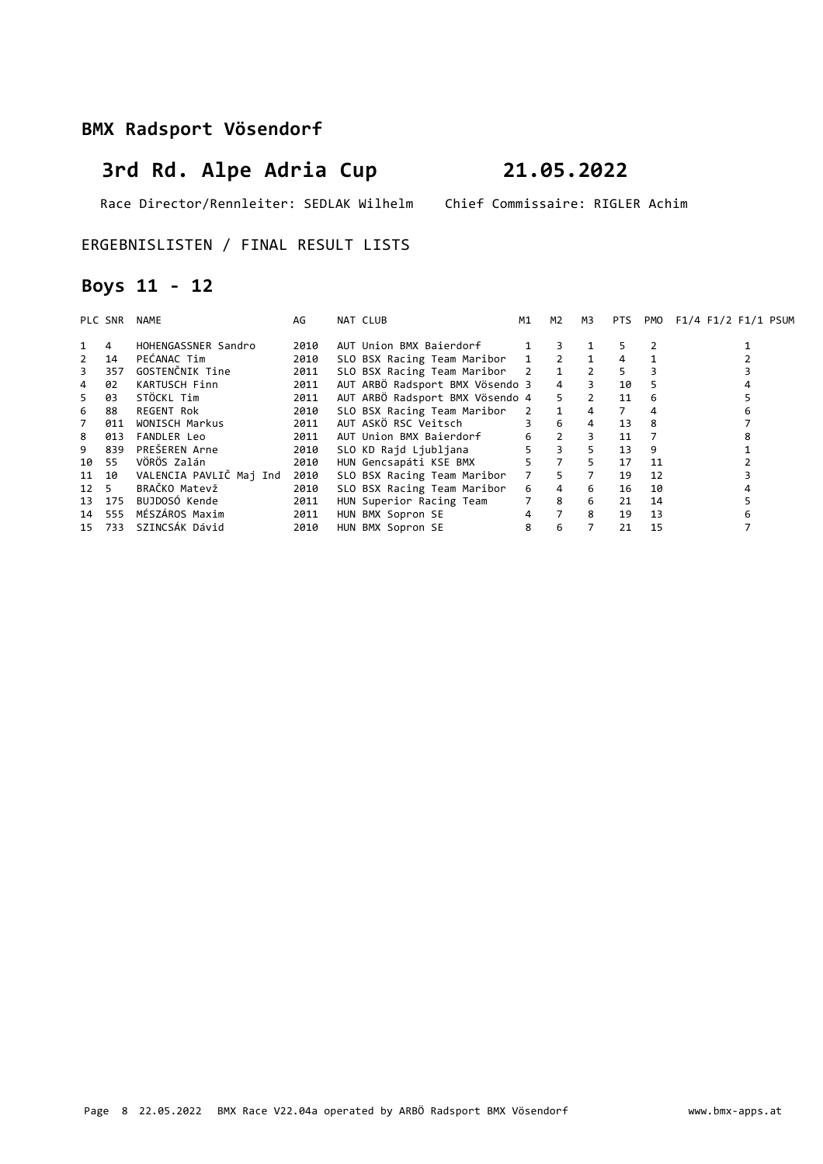# **3rd Rd. Alpe Adria Cup 21.05.2022**

Race Director/Rennleiter: SEDLAK Wilhelm Chief Commissaire: RIGLER Achim

### ERGEBNISLISTEN / FINAL RESULT LISTS

## **Boys 11 - 12**

|                | PLC SNR | <b>NAME</b>             | AG   | NAT CLUB                        | М1          | M <sub>2</sub> | M3             | PTS. | <b>PMO</b> | F1/4 F1/2 F1/1 PSUM |
|----------------|---------|-------------------------|------|---------------------------------|-------------|----------------|----------------|------|------------|---------------------|
|                | 4       | HOHENGASSNER Sandro     | 2010 | AUT Union BMX Baierdorf         |             | 3.             |                | 5.   |            |                     |
| $\overline{2}$ | 14      | PEĆANAC Tim             | 2010 | SLO BSX Racing Team Maribor     |             | 1 2            | $\overline{1}$ | 4    |            |                     |
| 3              | 357     | GOSTENČNIK Tine         | 2011 | SLO BSX Racing Team Maribor 2 1 |             |                |                | 5.   |            |                     |
| 4              | 02      | KARTUSCH Finn           | 2011 | AUT ARBÖ Radsport BMX Vösendo 3 |             | $\overline{4}$ |                | 10   | 5          |                     |
| 5.             | 03      | STÖCKL Tim              | 2011 | AUT ARBÖ Radsport BMX Vösendo 4 |             | 5 <sup>1</sup> | 2              | 11   | 6          |                     |
| 6              | 88      | REGENT Rok              | 2010 | SLO BSX Racing Team Maribor     | $2^{\circ}$ | 1              | 4              | 7    |            |                     |
| $\overline{7}$ | 011     | WONISCH Markus          | 2011 | AUT ASKÖ RSC Veitsch            |             | 6              | 4              | 13   | 8          |                     |
| 8              | 013     | <b>FANDLER Leo</b>      | 2011 | AUT Union BMX Baierdorf         | 6           | $2^{\circ}$    |                | 11   |            |                     |
| 9              | 839     | PREŠEREN Arne           | 2010 | SLO KD Rajd Ljubljana           |             | $\overline{3}$ | 5.             | 13   | 9          |                     |
| 10             | 55      | VÖRÖS Zalán             | 2010 | HUN Gencsapáti KSE BMX          | 5.          | $\overline{7}$ | 5.             | 17   | 11         |                     |
|                | 11 10   | VALENCIA PAVLIČ Maj Ind | 2010 | SLO BSX Racing Team Maribor     | 7           | 5.             |                | 19   | 12         |                     |
| 12 5           |         | BRAČKO Matevž           | 2010 | SLO BSX Racing Team Maribor     | 6           | $\overline{4}$ | 6              | 16   | 10         |                     |
|                | 13 175  | BUJDOSÓ Kende           | 2011 | HUN Superior Racing Team        |             | 8              | 6              | 21   | 14         |                     |
|                | 14 555  | MÉSZÁROS Maxim          | 2011 | HUN BMX Sopron SE               | 4           | $7^{\circ}$    | 8              | 19   | 13         |                     |
| 15             | 733     | SZINCSÁK Dávid          | 2010 | HUN BMX Sopron SE               | 8           | 6              |                | 21   | 15         |                     |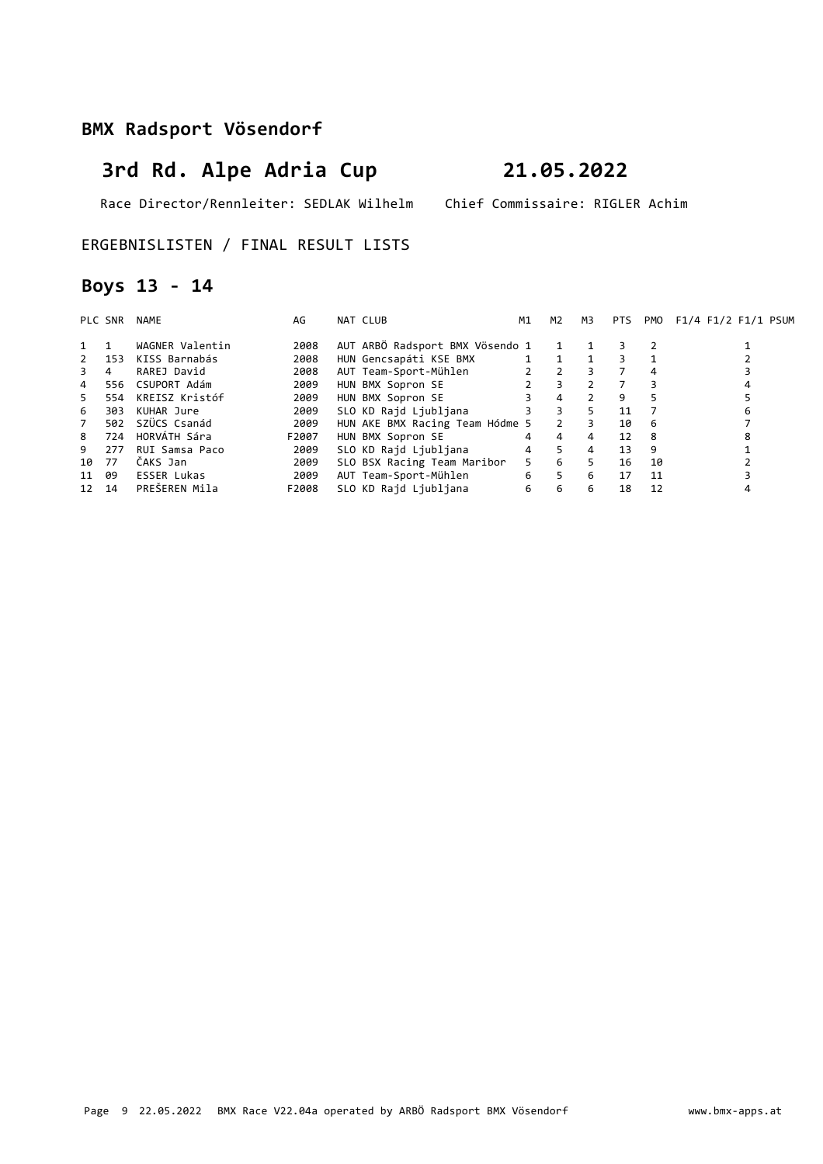# **3rd Rd. Alpe Adria Cup 21.05.2022**

Race Director/Rennleiter: SEDLAK Wilhelm Chief Commissaire: RIGLER Achim

### ERGEBNISLISTEN / FINAL RESULT LISTS

## **Boys 13 - 14**

|                | PLC SNR | NAME               | AG    | NAT CLUB                        | M1             | M2             | M3             | <b>PTS</b> | PMO            | F1/4 F1/2 F1/1 PSUM |
|----------------|---------|--------------------|-------|---------------------------------|----------------|----------------|----------------|------------|----------------|---------------------|
| 1 1            |         | WAGNER Valentin    | 2008  | AUT ARBÖ Radsport BMX Vösendo 1 |                | 1              |                | 3          |                |                     |
| 2              | 153     | KISS Barnabás      | 2008  | HUN Gencsapáti KSE BMX          |                | 1 1            |                | 3          |                |                     |
| 3              | 4       | RAREJ David        | 2008  | AUT Team-Sport-Mühlen           |                | $2 \quad 2$    | 3              |            |                |                     |
| 4              | 556     | CSUPORT Adám       | 2009  | HUN BMX Sopron SE               | $2^{\circ}$    | $\mathbf{3}$   |                |            | З              | 4                   |
| 5              | 554     | KREISZ Kristóf     | 2009  | HUN BMX Sopron SE               |                | $\overline{4}$ | $\mathbf{2}$   | 9          | 5              |                     |
| 6              | 303     | KUHAR Jure         | 2009  | SLO KD Rajd Ljubljana           | $\overline{3}$ | $\mathbf{3}$   | 5              | 11         | $\overline{7}$ | 6                   |
| $\overline{7}$ | 502     | SZÜCS Csanád       | 2009  | HUN AKE BMX Racing Team Hódme 5 |                | $\overline{2}$ | 3              | 10         | -6             |                     |
| 8              | 724     | HORVÁTH Sára       | F2007 | HUN BMX Sopron SE               | 4              | 4              | 4              | 12         | 8              |                     |
| 9              | 277     | RUI Samsa Paco     | 2009  | SLO KD Rajd Ljubljana           | $\overline{4}$ | 5 <sup>2</sup> | $\overline{4}$ | 13         | 9              |                     |
| 10             | - 77    | ČAKS Jan           | 2009  | SLO BSX Racing Team Maribor     | $5 -$          | 6              | 5.             | 16         | 10             |                     |
| 11             | 09      | <b>ESSER Lukas</b> | 2009  | AUT Team-Sport-Mühlen           | 6              | 5 <sup>5</sup> | 6              | 17         | 11             |                     |
| 12 14          |         | PREŠEREN Mila      | F2008 | SLO KD Rajd Ljubljana           | 6              | 6              | 6              | 18         | 12             |                     |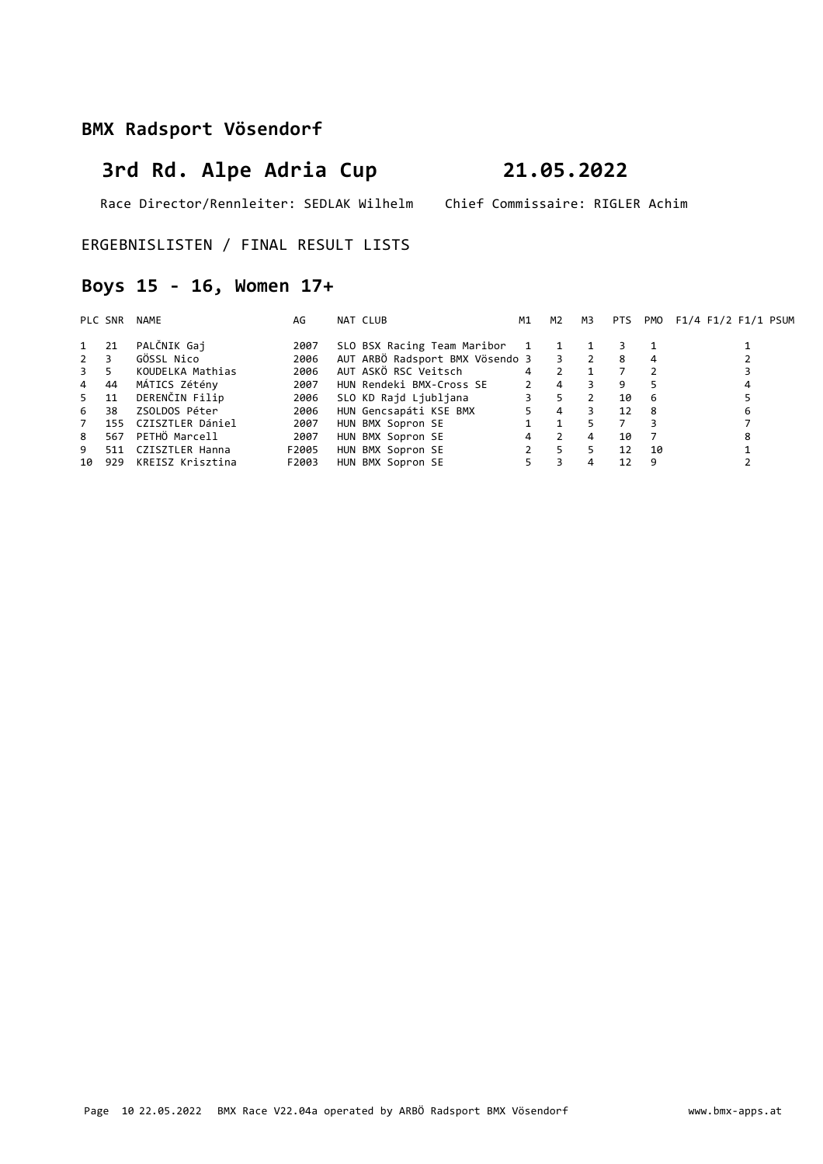# **3rd Rd. Alpe Adria Cup 21.05.2022**

Race Director/Rennleiter: SEDLAK Wilhelm Chief Commissaire: RIGLER Achim

ERGEBNISLISTEN / FINAL RESULT LISTS

## **Boys 15 - 16, Women 17+**

|                  | PLC SNR | NAME             | AG    | NAT CLUB                          | М1             | M2             | M3             | PTS | PMO | F1/4 F1/2 F1/1 PSUM |
|------------------|---------|------------------|-------|-----------------------------------|----------------|----------------|----------------|-----|-----|---------------------|
| 1 21             |         | PALČNIK Gaj      | 2007  | SLO BSX Racing Team Maribor       | $\mathbf{1}$   | $\mathbf{1}$   |                |     |     |                     |
| $2 \overline{3}$ |         | GÖSSL Nico       | 2006  | AUT ARBÖ Radsport BMX Vösendo 3 3 |                |                | $\overline{2}$ | -8  |     |                     |
| $3 \quad 5$      |         | KOUDELKA Mathias | 2006  | AUT ASKÖ RSC Veitsch              | $\overline{4}$ | $\mathcal{P}$  |                |     |     |                     |
| $\overline{4}$   | - 44    | MÁTICS Zétény    | 2007  | HUN Rendeki BMX-Cross SE          | $\overline{2}$ | $\overline{4}$ |                | 9   |     |                     |
| 5                | 11      | DERENČIN Filip   | 2006  | SLO KD Rajd Ljubljana             | 3              | 5.             |                | 10  | -6  |                     |
| 6                | 38      | ZSOLDOS Péter    | 2006  | HUN Gencsapáti KSE BMX            | 5              | $\overline{4}$ |                | 12  | 8   | 6                   |
| 7                | 155     | CZISZTLER Dániel | 2007  | HUN BMX Sopron SE                 |                |                |                |     |     |                     |
| 8                | 567     | PETHÖ Marcell    | 2007  | HUN BMX Sopron SE                 | 4              | $\mathcal{P}$  | 4              | 10  |     |                     |
| 9                | 511     | CZISZTLER Hanna  | F2005 | HUN BMX Sopron SE                 |                | -5             |                | 12  | 10  |                     |
| 10               | 929     | KREISZ Krisztina | F2003 | HUN BMX Sopron SE                 |                |                | 4              | 12  | 9   |                     |